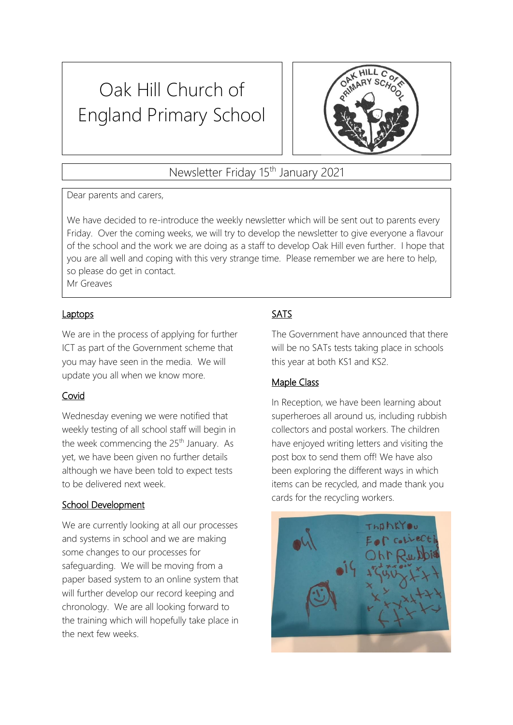# Oak Hill Church of England Primary School



## Newsletter Friday 15th January 2021

Dear parents and carers,

We have decided to re-introduce the weekly newsletter which will be sent out to parents every Friday. Over the coming weeks, we will try to develop the newsletter to give everyone a flavour of the school and the work we are doing as a staff to develop Oak Hill even further. I hope that you are all well and coping with this very strange time. Please remember we are here to help, so please do get in contact. Mr Greaves

**Laptops** 

We are in the process of applying for further ICT as part of the Government scheme that you may have seen in the media. We will update you all when we know more.

## Covid

Wednesday evening we were notified that weekly testing of all school staff will begin in the week commencing the 25<sup>th</sup> January. As yet, we have been given no further details although we have been told to expect tests to be delivered next week.

#### School Development

We are currently looking at all our processes and systems in school and we are making some changes to our processes for safeguarding. We will be moving from a paper based system to an online system that will further develop our record keeping and chronology. We are all looking forward to the training which will hopefully take place in the next few weeks.

## SATS

The Government have announced that there will be no SATs tests taking place in schools this year at both KS1 and KS2.

## Maple Class

In Reception, we have been learning about superheroes all around us, including rubbish collectors and postal workers. The children have enjoyed writing letters and visiting the post box to send them off! We have also been exploring the different ways in which items can be recycled, and made thank you cards for the recycling workers.

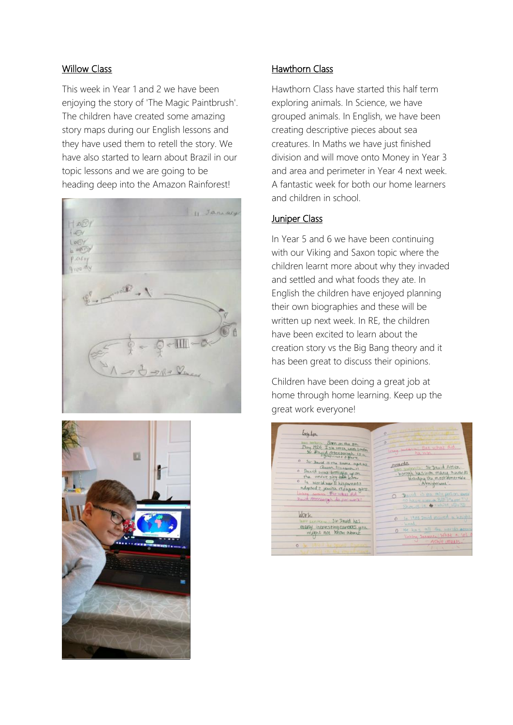#### Willow Class

This week in Year 1 and 2 we have been enjoying the story of 'The Magic Paintbrush'. The children have created some amazing story maps during our English lessons and they have used them to retell the story. We have also started to learn about Brazil in our topic lessons and we are going to be heading deep into the Amazon Rainforest!





#### Hawthorn Class

Hawthorn Class have started this half term exploring animals. In Science, we have grouped animals. In English, we have been creating descriptive pieces about sea creatures. In Maths we have just finished division and will move onto Money in Year 3 and area and perimeter in Year 4 next week. A fantastic week for both our home learners and children in school.

#### **Juniper Class**

In Year 5 and 6 we have been continuing with our Viking and Saxon topic where the children learnt more about why they invaded and settled and what foods they ate. In English the children have enjoyed planning their own biographies and these will be written up next week. In RE, the children have been excited to learn about the creation story vs the Big Bang theory and it has been great to discuss their opinions.

Children have been doing a great job at home through home learning. Keep up the great work everyone!